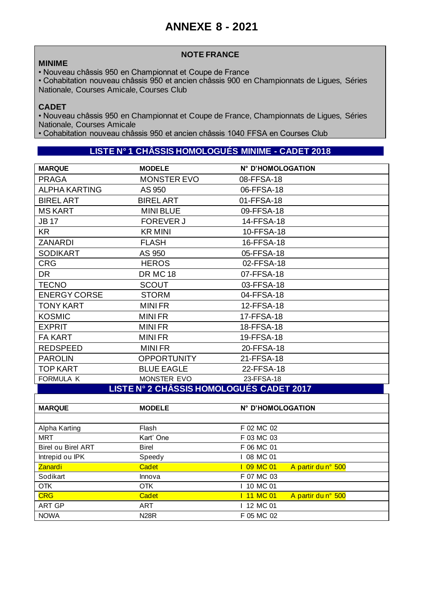# **ANNEXE 8 - 2021**

### **MINIME**

### **NOTE FRANCE**

• Nouveau châssis 950 en Championnat et Coupe de France

• Cohabitation nouveau châssis 950 et ancien châssis 900 en Championnats de Ligues, Séries Nationale, Courses Amicale, Courses Club

### **CADET**

• Nouveau châssis 950 en Championnat et Coupe de France, Championnats de Ligues, Séries Nationale, Courses Amicale

• Cohabitation nouveau châssis 950 et ancien châssis 1040 FFSA en Courses Club

## **LISTE N° 1 CHÂSSIS HOMOLOGUÉS MINIME - CADET 2018**

| <b>MARQUE</b>                            | <b>MODELE</b>      | N° D'HOMOLOGATION |  |  |
|------------------------------------------|--------------------|-------------------|--|--|
| <b>PRAGA</b>                             | <b>MONSTER EVO</b> | 08-FFSA-18        |  |  |
| <b>ALPHA KARTING</b>                     | AS 950             | 06-FFSA-18        |  |  |
| <b>BIREL ART</b>                         | <b>BIREL ART</b>   | 01-FFSA-18        |  |  |
| <b>MS KART</b>                           | <b>MINI BLUE</b>   | 09-FFSA-18        |  |  |
| <b>JB17</b>                              | <b>FOREVER J</b>   | 14-FFSA-18        |  |  |
| KR                                       | <b>KR MINI</b>     | 10-FFSA-18        |  |  |
| <b>ZANARDI</b>                           | <b>FLASH</b>       | 16-FFSA-18        |  |  |
| <b>SODIKART</b>                          | AS 950             | 05-FFSA-18        |  |  |
| <b>CRG</b>                               | <b>HEROS</b>       | 02-FFSA-18        |  |  |
| <b>DR</b>                                | <b>DR MC 18</b>    | 07-FFSA-18        |  |  |
| <b>TECNO</b>                             | <b>SCOUT</b>       | 03-FFSA-18        |  |  |
| <b>ENERGY CORSE</b>                      | <b>STORM</b>       | 04-FFSA-18        |  |  |
| <b>TONY KART</b>                         | <b>MINIFR</b>      | 12-FFSA-18        |  |  |
| <b>KOSMIC</b>                            | <b>MINIFR</b>      | 17-FFSA-18        |  |  |
| <b>EXPRIT</b>                            | <b>MINIFR</b>      | 18-FFSA-18        |  |  |
| <b>FA KART</b>                           | <b>MINIFR</b>      | 19-FFSA-18        |  |  |
| <b>REDSPEED</b>                          | <b>MINIFR</b>      | 20-FFSA-18        |  |  |
| <b>PAROLIN</b>                           | <b>OPPORTUNITY</b> | 21-FFSA-18        |  |  |
| <b>TOP KART</b>                          | <b>BLUE EAGLE</b>  | 22-FFSA-18        |  |  |
| FORMULA K                                | MONSTER EVO        | 23-FFSA-18        |  |  |
| LISTE N° 2 CHÂSSIS HOMOLOGUÉS CADET 2017 |                    |                   |  |  |

| <b>MARQUE</b>             | <b>MODELE</b> | N° D'HOMOLOGATION              |
|---------------------------|---------------|--------------------------------|
|                           |               |                                |
| Alpha Karting             | Flash         | F 02 MC 02                     |
| <b>MRT</b>                | Kart' One     | F 03 MC 03                     |
| <b>Birel ou Birel ART</b> | <b>Birel</b>  | F 06 MC 01                     |
| Intrepid ou IPK           | Speedy        | I 08 MC 01                     |
| <b>Zanardi</b>            | Cadet         | 09 MC 01<br>A partir du n° 500 |
| Sodikart                  | Innova        | F 07 MC 03                     |
| <b>OTK</b>                | <b>OTK</b>    | 10 MC 01                       |
| <b>CRG</b>                | Cadet         | 11 MC 01<br>A partir du n° 500 |
| <b>ART GP</b>             | ART           | 12 MC 01                       |
| <b>NOWA</b>               | <b>N28R</b>   | F 05 MC 02                     |